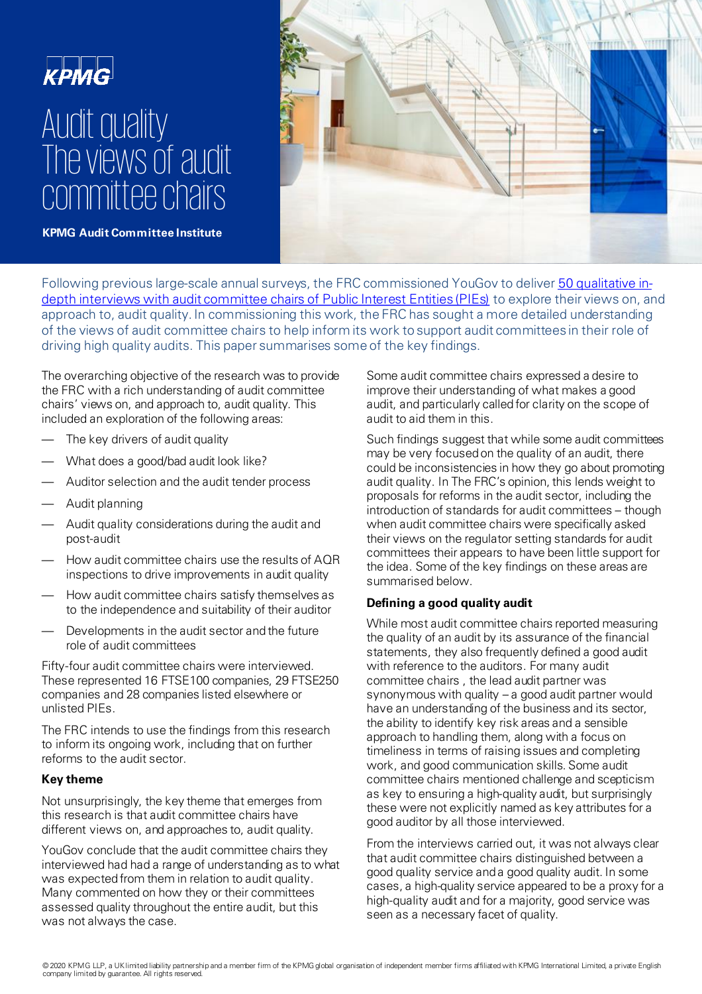# **KPMG** Audit quality The views of audit committee chairs



**KPMG Audit Committee Institute** 

[Following previous large-scale annual surveys, the FRC commissioned YouGov to deliver 50 qualitative in](https://www.frc.org.uk/getattachment/33a3b6e1-958a-4212-95c8-8aca6dd1b183/YouGov-ACC-Research.pdf)depth interviews with audit committee chairs of Public Interest Entities (PIEs) to explore their views on, and approach to, audit quality. In commissioning this work, the FRC has sought a more detailed understanding of the views of audit committee chairs to help inform its work to support audit committees in their role of driving high quality audits. This paper summarises some of the key findings.

The overarching objective of the research was to provide the FRC with a rich understanding of audit committee chairs' views on, and approach to, audit quality. This included an exploration of the following areas:

- The key drivers of audit quality
- What does a good/bad audit look like?
- Auditor selection and the audit tender process
- Audit planning
- Audit quality considerations during the audit and post-audit
- How audit committee chairs use the results of AQR inspections to drive improvements in audit quality
- How audit committee chairs satisfy themselves as to the independence and suitability of their auditor
- Developments in the audit sector and the future role of audit committees

Fifty-four audit committee chairs were interviewed. These represented 16 FTSE100 companies, 29 FTSE250 companies and 28 companies listed elsewhere or unlisted PIEs.

The FRC intends to use the findings from this research to inform its ongoing work, including that on further reforms to the audit sector.

### **Key theme**

Not unsurprisingly, the key theme that emerges from this research is that audit committee chairs have different views on, and approaches to, audit quality.

YouGov conclude that the audit committee chairs they interviewed had had a range of understanding as to what was expected from them in relation to audit quality. Many commented on how they or their committees assessed quality throughout the entire audit, but this was not always the case.

Some audit committee chairs expressed a desire to improve their understanding of what makes a good audit, and particularly called for clarity on the scope of audit to aid them in this.

Such findings suggest that while some audit committees may be very focused on the quality of an audit, there could be inconsistencies in how they go about promoting audit quality. In The FRC's opinion, this lends weight to proposals for reforms in the audit sector, including the introduction of standards for audit committees – though when audit committee chairs were specifically asked their views on the regulator setting standards for audit committees their appears to have been little support for the idea. Some of the key findings on these areas are summarised below.

# **Defining a good quality audit**

While most audit committee chairs reported measuring the quality of an audit by its assurance of the financial statements, they also frequently defined a good audit with reference to the auditors. For many audit committee chairs , the lead audit partner was synonymous with quality – a good audit partner would have an understanding of the business and its sector, the ability to identify key risk areas and a sensible approach to handling them, along with a focus on timeliness in terms of raising issues and completing work, and good communication skills. Some audit committee chairs mentioned challenge and scepticism as key to ensuring a high-quality audit, but surprisingly these were not explicitly named as key attributes for a good auditor by all those interviewed.

From the interviews carried out, it was not always clear that audit committee chairs distinguished between a good quality service and a good quality audit. In some cases, a high-quality service appeared to be a proxy for a high-quality audit and for a majority, good service was seen as a necessary facet of quality.